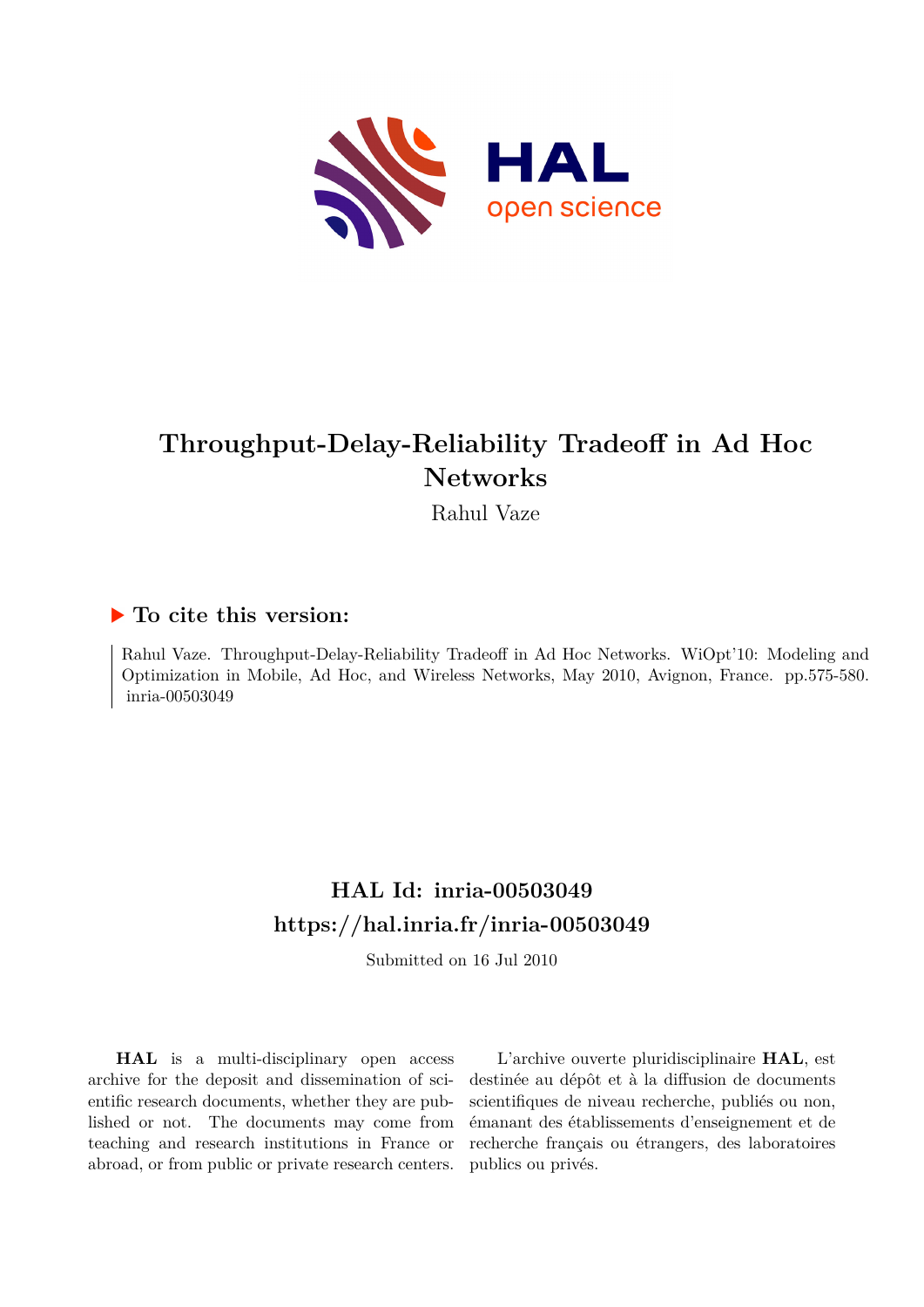

# **Throughput-Delay-Reliability Tradeoff in Ad Hoc Networks**

Rahul Vaze

# **To cite this version:**

Rahul Vaze. Throughput-Delay-Reliability Tradeoff in Ad Hoc Networks. WiOpt'10: Modeling and Optimization in Mobile, Ad Hoc, and Wireless Networks, May 2010, Avignon, France. pp.575-580. inria-00503049

# **HAL Id: inria-00503049 <https://hal.inria.fr/inria-00503049>**

Submitted on 16 Jul 2010

**HAL** is a multi-disciplinary open access archive for the deposit and dissemination of scientific research documents, whether they are published or not. The documents may come from teaching and research institutions in France or abroad, or from public or private research centers.

L'archive ouverte pluridisciplinaire **HAL**, est destinée au dépôt et à la diffusion de documents scientifiques de niveau recherche, publiés ou non, émanant des établissements d'enseignement et de recherche français ou étrangers, des laboratoires publics ou privés.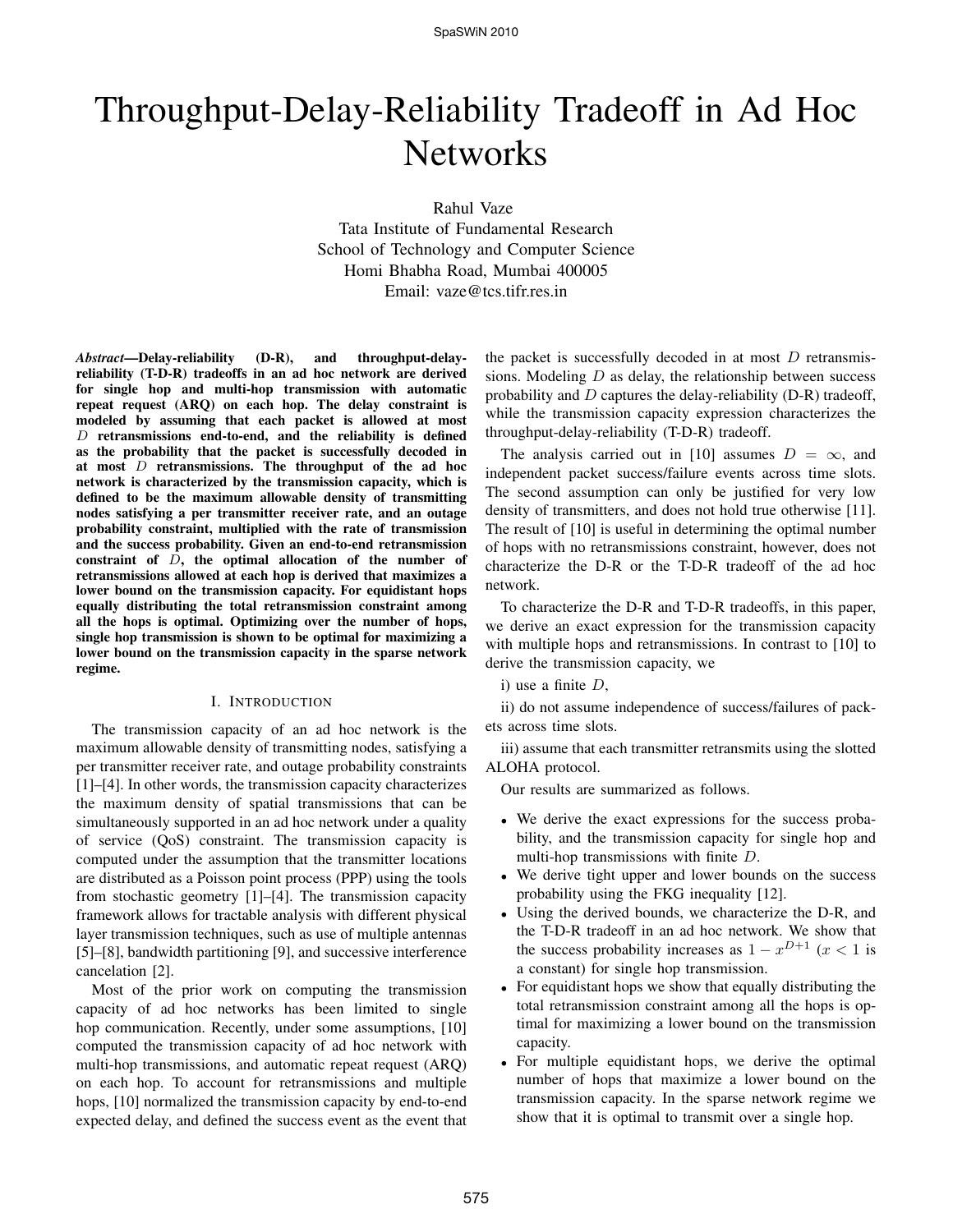# Throughput-Delay-Reliability Tradeoff in Ad Hoc **Networks**

Rahul Vaze

Tata Institute of Fundamental Research School of Technology and Computer Science Homi Bhabha Road, Mumbai 400005 Email: vaze@tcs.tifr.res.in

*Abstract*—Delay-reliability (D-R), and throughput-delayreliability (T-D-R) tradeoffs in an ad hoc network are derived for single hop and multi-hop transmission with automatic repeat request (ARQ) on each hop. The delay constraint is modeled by assuming that each packet is allowed at most  $D$  retransmissions end-to-end, and the reliability is defined as the probability that the packet is successfully decoded in at most  $D$  retransmissions. The throughput of the ad hoc network is characterized by the transmission capacity, which is defined to be the maximum allowable density of transmitting nodes satisfying a per transmitter receiver rate, and an outage probability constraint, multiplied with the rate of transmission and the success probability. Given an end-to-end retransmission constraint of D, the optimal allocation of the number of retransmissions allowed at each hop is derived that maximizes a lower bound on the transmission capacity. For equidistant hops equally distributing the total retransmission constraint among all the hops is optimal. Optimizing over the number of hops, single hop transmission is shown to be optimal for maximizing a lower bound on the transmission capacity in the sparse network regime.

# I. INTRODUCTION

The transmission capacity of an ad hoc network is the maximum allowable density of transmitting nodes, satisfying a per transmitter receiver rate, and outage probability constraints [1]–[4]. In other words, the transmission capacity characterizes the maximum density of spatial transmissions that can be simultaneously supported in an ad hoc network under a quality of service (QoS) constraint. The transmission capacity is computed under the assumption that the transmitter locations are distributed as a Poisson point process (PPP) using the tools from stochastic geometry [1]–[4]. The transmission capacity framework allows for tractable analysis with different physical layer transmission techniques, such as use of multiple antennas [5]–[8], bandwidth partitioning [9], and successive interference cancelation [2].

Most of the prior work on computing the transmission capacity of ad hoc networks has been limited to single hop communication. Recently, under some assumptions, [10] computed the transmission capacity of ad hoc network with multi-hop transmissions, and automatic repeat request (ARQ) on each hop. To account for retransmissions and multiple hops, [10] normalized the transmission capacity by end-to-end expected delay, and defined the success event as the event that the packet is successfully decoded in at most  $D$  retransmissions. Modeling  $D$  as delay, the relationship between success probability and  $D$  captures the delay-reliability (D-R) tradeoff, while the transmission capacity expression characterizes the throughput-delay-reliability (T-D-R) tradeoff.

The analysis carried out in [10] assumes  $D = \infty$ , and independent packet success/failure events across time slots. The second assumption can only be justified for very low density of transmitters, and does not hold true otherwise [11]. The result of [10] is useful in determining the optimal number of hops with no retransmissions constraint, however, does not characterize the D-R or the T-D-R tradeoff of the ad hoc network.

To characterize the D-R and T-D-R tradeoffs, in this paper, we derive an exact expression for the transmission capacity with multiple hops and retransmissions. In contrast to [10] to derive the transmission capacity, we

i) use a finite  $D$ ,

ii) do not assume independence of success/failures of packets across time slots.

iii) assume that each transmitter retransmits using the slotted ALOHA protocol.

Our results are summarized as follows.

- We derive the exact expressions for the success probability, and the transmission capacity for single hop and multi-hop transmissions with finite D.
- We derive tight upper and lower bounds on the success probability using the FKG inequality [12].
- Using the derived bounds, we characterize the D-R, and the T-D-R tradeoff in an ad hoc network. We show that the success probability increases as  $1 - x^{D+1}$  ( $x < 1$  is a constant) for single hop transmission.
- For equidistant hops we show that equally distributing the total retransmission constraint among all the hops is optimal for maximizing a lower bound on the transmission capacity.
- For multiple equidistant hops, we derive the optimal number of hops that maximize a lower bound on the transmission capacity. In the sparse network regime we show that it is optimal to transmit over a single hop.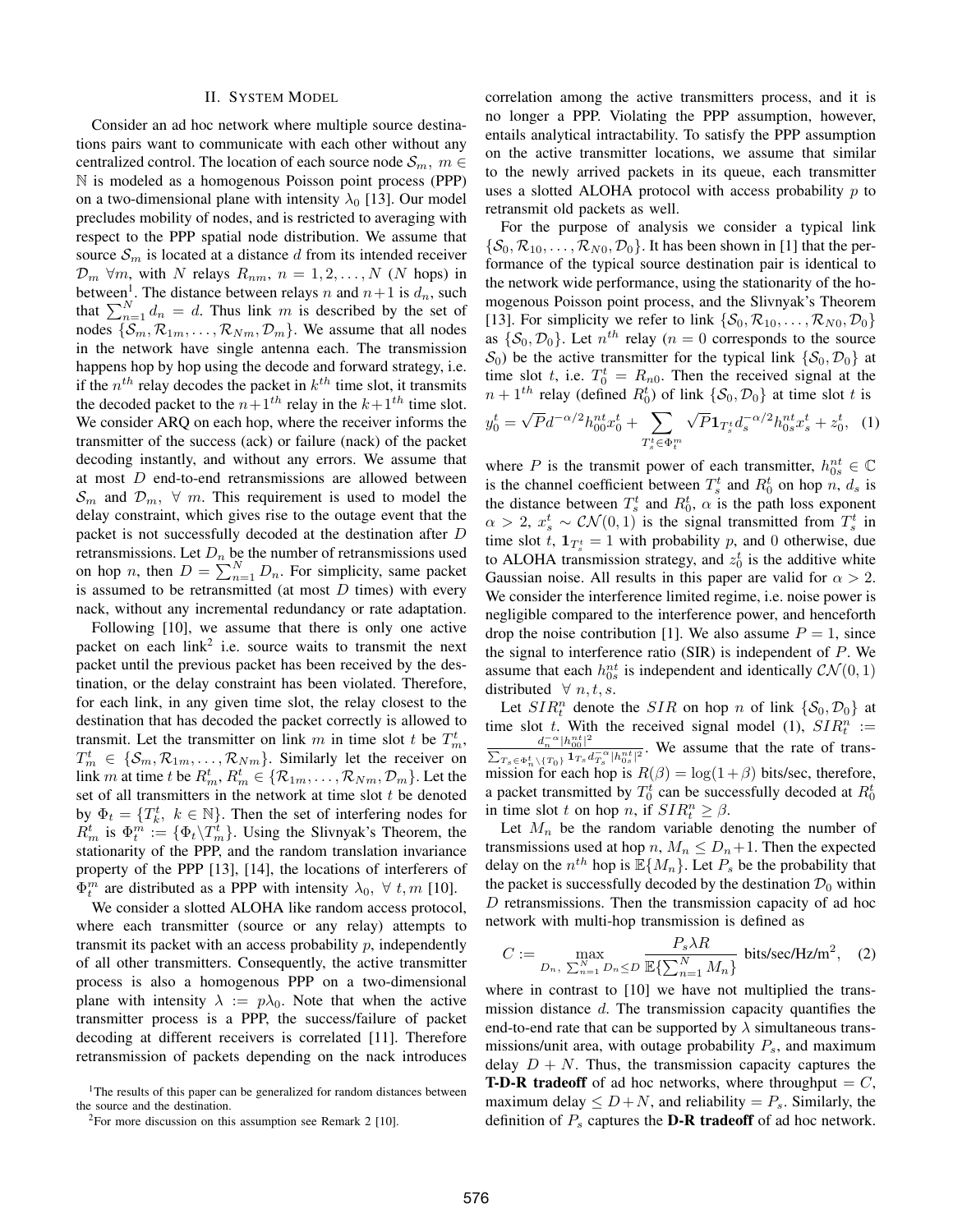### II. SYSTEM MODEL

Consider an ad hoc network where multiple source destinations pairs want to communicate with each other without any centralized control. The location of each source node  $\mathcal{S}_m$ ,  $m \in$ N is modeled as a homogenous Poisson point process (PPP) on a two-dimensional plane with intensity  $\lambda_0$  [13]. Our model precludes mobility of nodes, and is restricted to averaging with respect to the PPP spatial node distribution. We assume that source  $S_m$  is located at a distance d from its intended receiver  $\mathcal{D}_m$   $\forall m$ , with N relays  $R_{nm}$ ,  $n = 1, 2, ..., N$  (N hops) in between<sup>1</sup>. The distance between relays n and  $n+1$  is  $d_n$ , such that  $\sum_{n=1}^{N} d_n = d$ . Thus link m is described by the set of nodes  $\{S_m, R_{1m}, \ldots, R_{Nm}, D_m\}$ . We assume that all nodes in the network have single antenna each. The transmission happens hop by hop using the decode and forward strategy, i.e. if the  $n^{th}$  relay decodes the packet in  $k^{th}$  time slot, it transmits the decoded packet to the  $n+1<sup>th</sup>$  relay in the  $k+1<sup>th</sup>$  time slot. We consider ARQ on each hop, where the receiver informs the transmitter of the success (ack) or failure (nack) of the packet decoding instantly, and without any errors. We assume that at most D end-to-end retransmissions are allowed between  $\mathcal{S}_m$  and  $\mathcal{D}_m$ ,  $\forall$  m. This requirement is used to model the delay constraint, which gives rise to the outage event that the packet is not successfully decoded at the destination after D retransmissions. Let  $D_n$  be the number of retransmissions used on hop *n*, then  $D = \sum_{n=1}^{N} D_n$ . For simplicity, same packet is assumed to be retransmitted (at most  $D$  times) with every nack, without any incremental redundancy or rate adaptation.

Following [10], we assume that there is only one active packet on each  $link^2$  i.e. source waits to transmit the next packet until the previous packet has been received by the destination, or the delay constraint has been violated. Therefore, for each link, in any given time slot, the relay closest to the destination that has decoded the packet correctly is allowed to transmit. Let the transmitter on link m in time slot t be  $T_m^t$ ,  $T_m^t \in \{S_m, \mathcal{R}_{1m}, \dots, \mathcal{R}_{Nm}\}.$  Similarly let the receiver on link m at time t be  $R_m^t$ ,  $R_m^t \in \{R_{1m}, \ldots, R_{Nm}, \mathcal{D}_m\}$ . Let the set of all transmitters in the network at time slot  $t$  be denoted by  $\Phi_t = \{T_k^t, k \in \mathbb{N}\}$ . Then the set of interfering nodes for  $R_m^t$  is  $\Phi_t^m := {\Phi_t \backslash T_m^t}$ . Using the Slivnyak's Theorem, the stationarity of the PPP, and the random translation invariance property of the PPP [13], [14], the locations of interferers of  $\Phi_t^m$  are distributed as a PPP with intensity  $\lambda_0$ ,  $\forall$  t, m [10].

We consider a slotted ALOHA like random access protocol, where each transmitter (source or any relay) attempts to transmit its packet with an access probability  $p$ , independently of all other transmitters. Consequently, the active transmitter process is also a homogenous PPP on a two-dimensional plane with intensity  $\lambda := p\lambda_0$ . Note that when the active transmitter process is a PPP, the success/failure of packet decoding at different receivers is correlated [11]. Therefore retransmission of packets depending on the nack introduces

correlation among the active transmitters process, and it is no longer a PPP. Violating the PPP assumption, however, entails analytical intractability. To satisfy the PPP assumption on the active transmitter locations, we assume that similar to the newly arrived packets in its queue, each transmitter uses a slotted ALOHA protocol with access probability  $p$  to retransmit old packets as well.

For the purpose of analysis we consider a typical link  $\{\mathcal{S}_0, \mathcal{R}_{10}, \ldots, \mathcal{R}_{N0}, \mathcal{D}_0\}$ . It has been shown in [1] that the performance of the typical source destination pair is identical to the network wide performance, using the stationarity of the homogenous Poisson point process, and the Slivnyak's Theorem [13]. For simplicity we refer to link  $\{S_0, R_{10}, \ldots, R_{N0}, \mathcal{D}_0\}$ as  $\{S_0, D_0\}$ . Let  $n^{th}$  relay ( $n = 0$  corresponds to the source  $S_0$ ) be the active transmitter for the typical link  $\{S_0, D_0\}$  at time slot t, i.e.  $T_0^t = R_{n0}$ . Then the received signal at the  $n + 1$ <sup>th</sup> relay (defined  $R_0^t$ ) of link  $\{S_0, D_0\}$  at time slot t is

$$
y_0^t = \sqrt{P}d^{-\alpha/2}h_{00}^{nt}x_0^t + \sum_{T_s^t \in \Phi_t^m} \sqrt{P} \mathbf{1}_{T_s^t} d_s^{-\alpha/2} h_{0s}^{nt}x_s^t + z_0^t, \quad (1)
$$

where P is the transmit power of each transmitter,  $h_{0s}^{nt} \in \mathbb{C}$ is the channel coefficient between  $T_s^t$  and  $R_0^t$  on hop  $n, d_s$  is the distance between  $T_s^t$  and  $R_0^t$ ,  $\alpha$  is the path loss exponent  $\alpha > 2$ ,  $x_s^t \sim \mathcal{CN}(0, 1)$  is the signal transmitted from  $T_s^t$  in time slot t,  $\mathbf{1}_{T_s^t} = 1$  with probability p, and 0 otherwise, due to ALOHA transmission strategy, and  $z_0^t$  is the additive white Gaussian noise. All results in this paper are valid for  $\alpha > 2$ . We consider the interference limited regime, i.e. noise power is negligible compared to the interference power, and henceforth drop the noise contribution [1]. We also assume  $P = 1$ , since the signal to interference ratio (SIR) is independent of  $P$ . We assume that each  $h_{0s}^{nt}$  is independent and identically  $\mathcal{CN}(0, 1)$ distributed  $\forall n, t, s$ .

Let  $SIR_t^n$  denote the  $SIR$  on hop n of link  $\{\mathcal{S}_0, \mathcal{D}_0\}$  at time slot t. With the received signal model (1),  $SIR_t^n :=$  $\frac{d_{n}^{-\alpha}|h_{00}^{nt}|^{2}}{dt}$  $\frac{a_n - \mu_{00}}{\sum_{T_s \in \Phi_n^t \setminus \{T_0\}} \mathbf{1}_{T_s} d_{T_s}^{-\alpha} |h_{0s}^{nt}|^2}$ . We assume that the rate of transmission for each hop is  $R(\beta) = \log(1+\beta)$  bits/sec, therefore, a packet transmitted by  $T_0^t$  can be successfully decoded at  $R_0^t$ in time slot t on hop n, if  $SIR_t^n \geq \beta$ .

Let  $M_n$  be the random variable denoting the number of transmissions used at hop  $n, M_n \leq D_n + 1$ . Then the expected delay on the  $n^{th}$  hop is  $\mathbb{E}\{M_n\}$ . Let  $P_s$  be the probability that the packet is successfully decoded by the destination  $\mathcal{D}_0$  within D retransmissions. Then the transmission capacity of ad hoc network with multi-hop transmission is defined as

$$
C := \max_{D_n, \sum_{n=1}^N D_n \le D} \frac{P_s \lambda R}{\mathbb{E}\left\{\sum_{n=1}^N M_n\right\}} \text{ bits/sec/Hz/m}^2, \quad (2)
$$

where in contrast to [10] we have not multiplied the transmission distance  $d$ . The transmission capacity quantifies the end-to-end rate that can be supported by  $\lambda$  simultaneous transmissions/unit area, with outage probability  $P_s$ , and maximum delay  $D + N$ . Thus, the transmission capacity captures the **T-D-R tradeoff** of ad hoc networks, where throughput  $=C$ , maximum delay  $\leq D+N$ , and reliability  $=P_s$ . Similarly, the definition of  $P_s$  captures the **D-R tradeoff** of ad hoc network.

<sup>&</sup>lt;sup>1</sup>The results of this paper can be generalized for random distances between the source and the destination.

 $2$ For more discussion on this assumption see Remark 2 [10].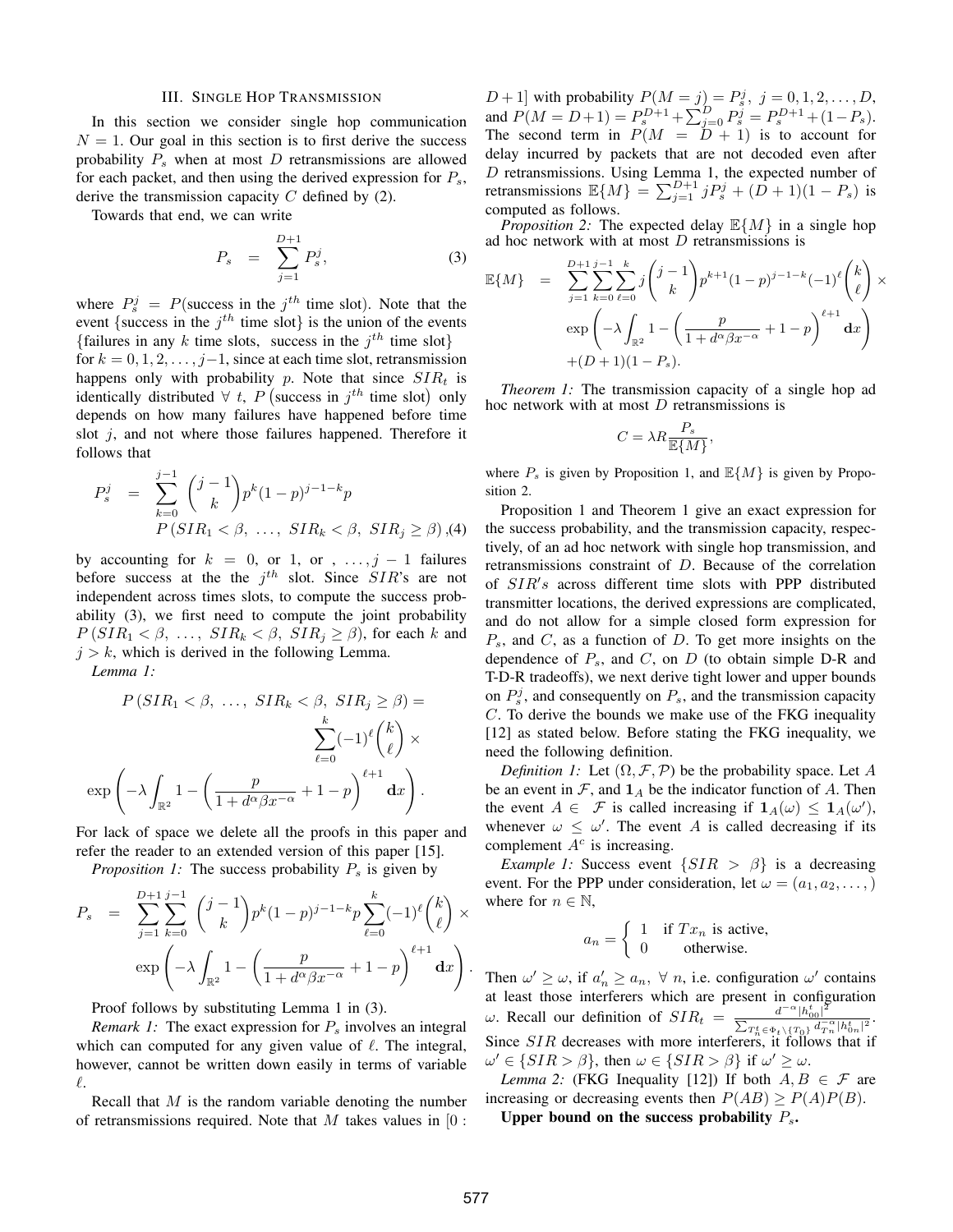#### III. SINGLE HOP TRANSMISSION

In this section we consider single hop communication  $N = 1$ . Our goal in this section is to first derive the success probability  $P_s$  when at most D retransmissions are allowed for each packet, and then using the derived expression for  $P_s$ , derive the transmission capacity  $C$  defined by (2).

Towards that end, we can write

$$
P_s = \sum_{j=1}^{D+1} P_s^j,
$$
 (3)

where  $P_s^j = P$ (success in the  $j^{th}$  time slot). Note that the event {success in the  $j<sup>th</sup>$  time slot} is the union of the events {failures in any k time slots, success in the  $j<sup>th</sup>$  time slot} for  $k = 0, 1, 2, \ldots, j-1$ , since at each time slot, retransmission happens only with probability p. Note that since  $SIR_t$  is identically distributed  $\forall$  t, P (success in  $j^{th}$  time slot) only depends on how many failures have happened before time slot  $j$ , and not where those failures happened. Therefore it follows that

$$
P_s^j = \sum_{k=0}^{j-1} {j-1 \choose k} p^k (1-p)^{j-1-k} p
$$
  
\n
$$
P(SIR_1 < \beta, \ldots, SIR_k < \beta, SIR_j \ge \beta), (4)
$$

by accounting for  $k = 0$ , or 1, or , ...,  $j - 1$  failures before success at the the  $j<sup>th</sup>$  slot. Since  $SIR$ 's are not independent across times slots, to compute the success probability (3), we first need to compute the joint probability  $P(SIR_1 \leq \beta, \ldots, SIR_k \leq \beta, SIR_i \geq \beta)$ , for each k and  $j > k$ , which is derived in the following Lemma.

*Lemma 1:*

$$
P(SIR_1 < \beta, \ldots, \, SIR_k < \beta, \, SIR_j \ge \beta) =
$$

$$
\sum_{\ell=0}^k (-1)^{\ell} {k \choose \ell} \times
$$

$$
\exp\left(-\lambda \int_{\mathbb{R}^2} 1 - \left(\frac{p}{1 + d^{\alpha}\beta x^{-\alpha}} + 1 - p\right)^{\ell+1} dx\right).
$$

For lack of space we delete all the proofs in this paper and refer the reader to an extended version of this paper [15].

*Proposition 1:* The success probability  $P_s$  is given by

$$
P_s = \sum_{j=1}^{D+1} \sum_{k=0}^{j-1} {j-1 \choose k} p^k (1-p)^{j-1-k} p \sum_{\ell=0}^k (-1)^{\ell} {k \choose \ell} \times \exp \left(-\lambda \int_{\mathbb{R}^2} 1 - \left(\frac{p}{1+d^{\alpha} \beta x^{-\alpha}} + 1 - p\right)^{\ell+1} dx\right).
$$

Proof follows by substituting Lemma 1 in (3).

*Remark 1:* The exact expression for  $P<sub>s</sub>$  involves an integral which can computed for any given value of  $\ell$ . The integral, however, cannot be written down easily in terms of variable  $\ell.$ 

Recall that  $M$  is the random variable denoting the number of retransmissions required. Note that  $M$  takes values in  $[0:$ 

 $[D+1]$  with probability  $P(M = j) = P_s^j$ ,  $j = 0, 1, 2, ..., D$ , and  $P(M = D + 1) = P_s^{D+1} + \sum_{j=0}^{D} P_s^j = P_s^{D+1} + (1 - P_s)$ . The second term in  $P(M = D + 1)$  is to account for delay incurred by packets that are not decoded even after D retransmissions. Using Lemma 1, the expected number of retransmissions  $\mathbb{E}\{M\} = \sum_{j=1}^{D+1} j P_s^j + (D+1)(1 - P_s)$  is computed as follows.

*Proposition 2:* The expected delay  $\mathbb{E}\{M\}$  in a single hop ad hoc network with at most D retransmissions is

$$
\mathbb{E}\{M\} = \sum_{j=1}^{D+1} \sum_{k=0}^{j-1} \sum_{\ell=0}^{k} j \binom{j-1}{k} p^{k+1} (1-p)^{j-1-k} (-1)^{\ell} \binom{k}{\ell} \times \exp \left(-\lambda \int_{\mathbb{R}^2} 1 - \left(\frac{p}{1+d^{\alpha} \beta x^{-\alpha}} + 1 - p\right)^{\ell+1} dx\right) + (D+1)(1-P_s).
$$

*Theorem 1:* The transmission capacity of a single hop ad hoc network with at most D retransmissions is

$$
C = \lambda R \frac{P_s}{\mathbb{E}\{M\}},
$$

where  $P_s$  is given by Proposition 1, and  $\mathbb{E}{M}$  is given by Proposition 2.

Proposition 1 and Theorem 1 give an exact expression for the success probability, and the transmission capacity, respectively, of an ad hoc network with single hop transmission, and retransmissions constraint of D. Because of the correlation of SIR's across different time slots with PPP distributed transmitter locations, the derived expressions are complicated, and do not allow for a simple closed form expression for  $P_s$ , and  $C$ , as a function of  $D$ . To get more insights on the dependence of  $P_s$ , and  $C$ , on  $D$  (to obtain simple D-R and T-D-R tradeoffs), we next derive tight lower and upper bounds on  $P_s^j$ , and consequently on  $P_s$ , and the transmission capacity C. To derive the bounds we make use of the FKG inequality [12] as stated below. Before stating the FKG inequality, we need the following definition.

*Definition 1:* Let  $(\Omega, \mathcal{F}, \mathcal{P})$  be the probability space. Let A be an event in  $\mathcal{F}$ , and  $\mathbf{1}_A$  be the indicator function of A. Then the event  $A \in \mathcal{F}$  is called increasing if  $\mathbf{1}_A(\omega) \leq \mathbf{1}_A(\omega)$ , whenever  $\omega \leq \omega'$ . The event A is called decreasing if its complement  $A<sup>c</sup>$  is increasing.

*Example 1:* Success event  $\{SIR > \beta\}$  is a decreasing event. For the PPP under consideration, let  $\omega = (a_1, a_2, \dots, )$ where for  $n \in \mathbb{N}$ ,

$$
a_n = \begin{cases} 1 & \text{if } Tx_n \text{ is active,} \\ 0 & \text{otherwise.} \end{cases}
$$

Then  $\omega' \geq \omega$ , if  $a'_n \geq a_n$ ,  $\forall$  *n*, i.e. configuration  $\omega'$  contains at least those interferers which are present in configuration ω. Recall our definition of  $SIR_t = \frac{d^{-\alpha} |h_{00}^t|^2}{\sum_{d=1}^{\infty} d^{-\alpha}}$  $\frac{a^{-n} |h_{00}|}{\sum_{T_n^t \in \Phi_t \setminus \{T_0\}} d_{T_n}^{-\alpha} |h_{0n}^t|^2}.$ Since  $SIR$  decreases with more interferers, it follows that if  $\omega' \in \{SIR > \beta\}$ , then  $\omega \in \{SIR > \beta\}$  if  $\omega' \geq \omega$ .

*Lemma 2:* (FKG Inequality [12]) If both  $A, B \in \mathcal{F}$  are increasing or decreasing events then  $P(AB) \ge P(A)P(B)$ . Upper bound on the success probability  $P_s$ .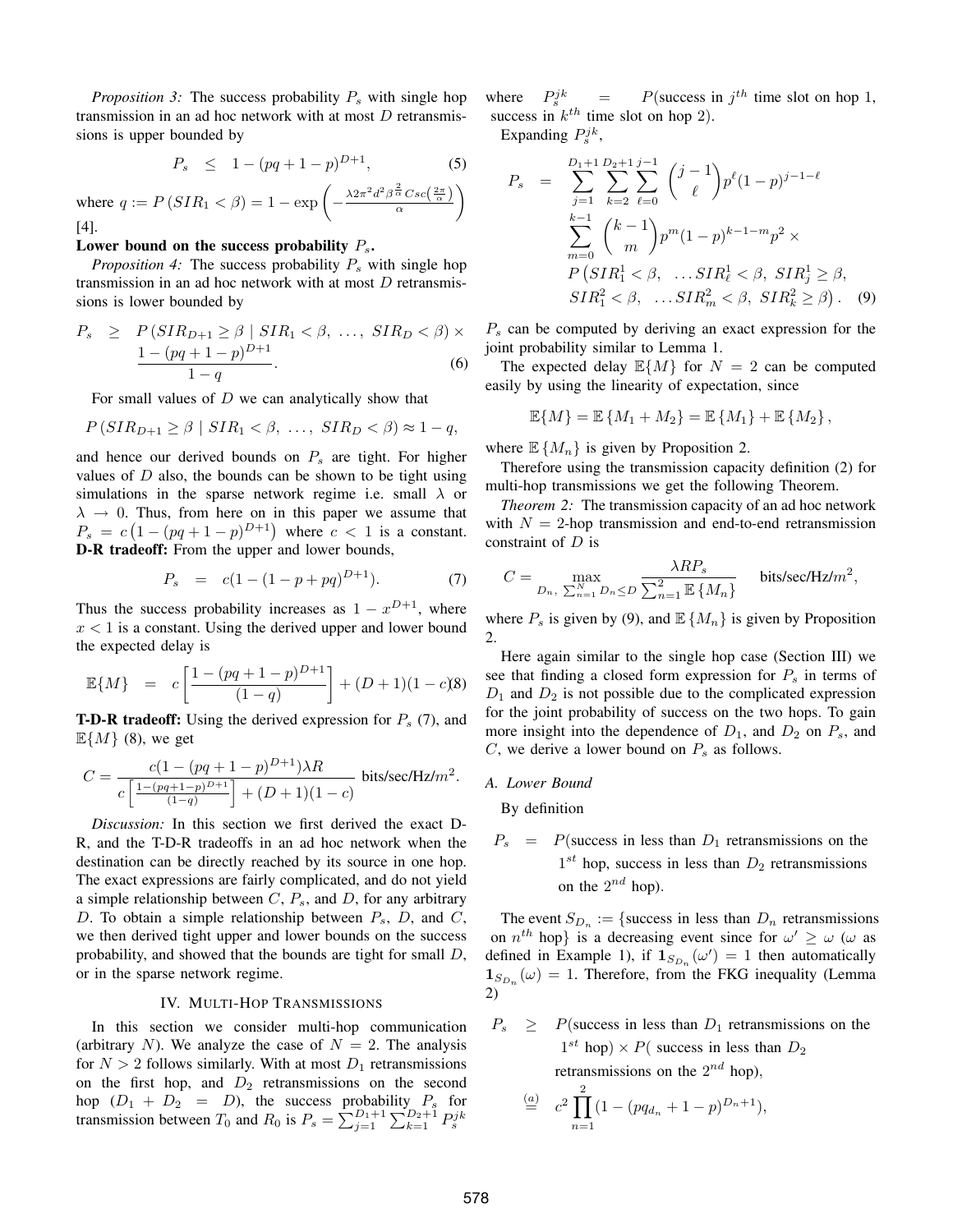*Proposition 3:* The success probability  $P_s$  with single hop transmission in an ad hoc network with at most  $D$  retransmissions is upper bounded by

$$
P_s \le 1 - (pq + 1 - p)^{D+1}, \tag{5}
$$

where 
$$
q := P(SIR_1 < \beta) = 1 - \exp\left(-\frac{\lambda 2\pi^2 d^2 \beta \frac{\lambda}{\alpha} Csc\left(\frac{2\pi}{\alpha}\right)}{\alpha}\right)
$$

[4].

# Lower bound on the success probability  $P_s$ .

*Proposition 4:* The success probability  $P_s$  with single hop transmission in an ad hoc network with at most  $D$  retransmissions is lower bounded by

$$
P_s \ge P(SIR_{D+1} \ge \beta \mid SIR_1 < \beta, \dots, \, SIR_D < \beta) \times \frac{1 - (pq + 1 - p)^{D+1}}{1 - q}.\tag{6}
$$

For small values of  $D$  we can analytically show that

$$
P(SIR_{D+1} \ge \beta \mid SIR_1 < \beta, \ldots, \, SIR_D < \beta) \approx 1 - q,
$$

and hence our derived bounds on  $P_s$  are tight. For higher values of  $D$  also, the bounds can be shown to be tight using simulations in the sparse network regime i.e. small  $\lambda$  or  $\lambda \rightarrow 0$ . Thus, from here on in this paper we assume that  $P_s = c(1 - (pq + 1 - p)^{D+1})$  where  $c < 1$  is a constant. D-R tradeoff: From the upper and lower bounds,

$$
P_s = c(1 - (1 - p + pq)^{D+1}). \tag{7}
$$

Thus the success probability increases as  $1 - x^{D+1}$ , where  $x < 1$  is a constant. Using the derived upper and lower bound the expected delay is

$$
\mathbb{E}\{M\} = c\left[\frac{1 - (pq + 1 - p)^{D+1}}{(1 - q)}\right] + (D+1)(1 - c)\mathbf{8}
$$

**T-D-R tradeoff:** Using the derived expression for  $P_s$  (7), and  $\mathbb{E}{M}$  (8), we get

$$
C = \frac{c(1 - (pq + 1 - p)^{D+1})\lambda R}{c\left[\frac{1 - (pq + 1 - p)^{D+1}}{(1 - q)}\right] + (D + 1)(1 - c)}
$$
 bits/sec/Hz/m<sup>2</sup>.

*Discussion:* In this section we first derived the exact D-R, and the T-D-R tradeoffs in an ad hoc network when the destination can be directly reached by its source in one hop. The exact expressions are fairly complicated, and do not yield a simple relationship between  $C, P_s$ , and  $D$ , for any arbitrary D. To obtain a simple relationship between  $P_s$ , D, and C, we then derived tight upper and lower bounds on the success probability, and showed that the bounds are tight for small D, or in the sparse network regime.

# IV. MULTI-HOP TRANSMISSIONS

In this section we consider multi-hop communication (arbitrary N). We analyze the case of  $N = 2$ . The analysis for  $N > 2$  follows similarly. With at most  $D_1$  retransmissions on the first hop, and  $D_2$  retransmissions on the second hop  $(D_1 + D_2 = D)$ , the success probability  $P_s$  for transmission between  $T_0$  and  $R_0$  is  $P_s = \sum_{j=1}^{D_1+1} \sum_{k=1}^{D_2+1} P_s^{jk}$ 

where  $P_s^{jk}$  $s_j^{ijk}$  = P(success in  $j^{th}$  time slot on hop 1, success in  $k^{th}$  time slot on hop 2).

Expanding  $P_s^{jk}$ ,

$$
P_s = \sum_{j=1}^{D_1+1} \sum_{k=2}^{D_2+1} \sum_{\ell=0}^{j-1} {j-1 \choose \ell} p^{\ell} (1-p)^{j-1-\ell}
$$
  

$$
\sum_{m=0}^{k-1} {k-1 \choose m} p^m (1-p)^{k-1-m} p^2 \times
$$
  

$$
P(SIR_1^1 < \beta, \dots SIR_\ell^1 < \beta, SIR_j^1 \ge \beta,
$$
  

$$
SIR_1^2 < \beta, \dots SIR_m^2 < \beta, SIR_\ell^2 \ge \beta).
$$
 (9)

 $P<sub>s</sub>$  can be computed by deriving an exact expression for the joint probability similar to Lemma 1.

The expected delay  $\mathbb{E}\{M\}$  for  $N = 2$  can be computed easily by using the linearity of expectation, since

$$
\mathbb{E}{M} = \mathbb{E}{M_1 + M_2} = \mathbb{E}{M_1} + \mathbb{E}{M_2},
$$

where  $\mathbb{E}\{M_n\}$  is given by Proposition 2.

Therefore using the transmission capacity definition (2) for multi-hop transmissions we get the following Theorem.

*Theorem 2:* The transmission capacity of an ad hoc network with  $N = 2$ -hop transmission and end-to-end retransmission constraint of D is

$$
C = \max_{D_n, \sum_{n=1}^{N} D_n \le D} \frac{\lambda RP_s}{\sum_{n=1}^{2} \mathbb{E} \{M_n\}} \quad \text{bits/sec/Hz/m}^2,
$$

where  $P_s$  is given by (9), and  $\mathbb{E}\{M_n\}$  is given by Proposition 2.

Here again similar to the single hop case (Section III) we see that finding a closed form expression for  $P_s$  in terms of  $D_1$  and  $D_2$  is not possible due to the complicated expression for the joint probability of success on the two hops. To gain more insight into the dependence of  $D_1$ , and  $D_2$  on  $P_s$ , and  $C$ , we derive a lower bound on  $P_s$  as follows.

# *A. Lower Bound*

By definition

 $P_s$  = P(success in less than  $D_1$  retransmissions on the  $1^{st}$  hop, success in less than  $D_2$  retransmissions on the  $2^{nd}$  hop).

The event  $S_{D_n}$  := {success in less than  $D_n$  retransmissions on  $n^{th}$  hop} is a decreasing event since for  $\omega' \geq \omega$  ( $\omega$  as defined in Example 1), if  $\mathbf{1}_{S_{D_n}}(\omega') = 1$  then automatically  $\mathbf{1}_{S_{D_n}}(\omega) = 1$ . Therefore, from the FKG inequality (Lemma 2)

 $P_s \geq P$ (success in less than  $D_1$  retransmissions on the  $1^{st}$  hop)  $\times$  P( success in less than  $D_2$ retransmissions on the  $2^{nd}$  hop),

$$
\stackrel{(a)}{=} c^2 \prod_{n=1}^2 (1 - (pq_{d_n} + 1 - p)^{D_n + 1}),
$$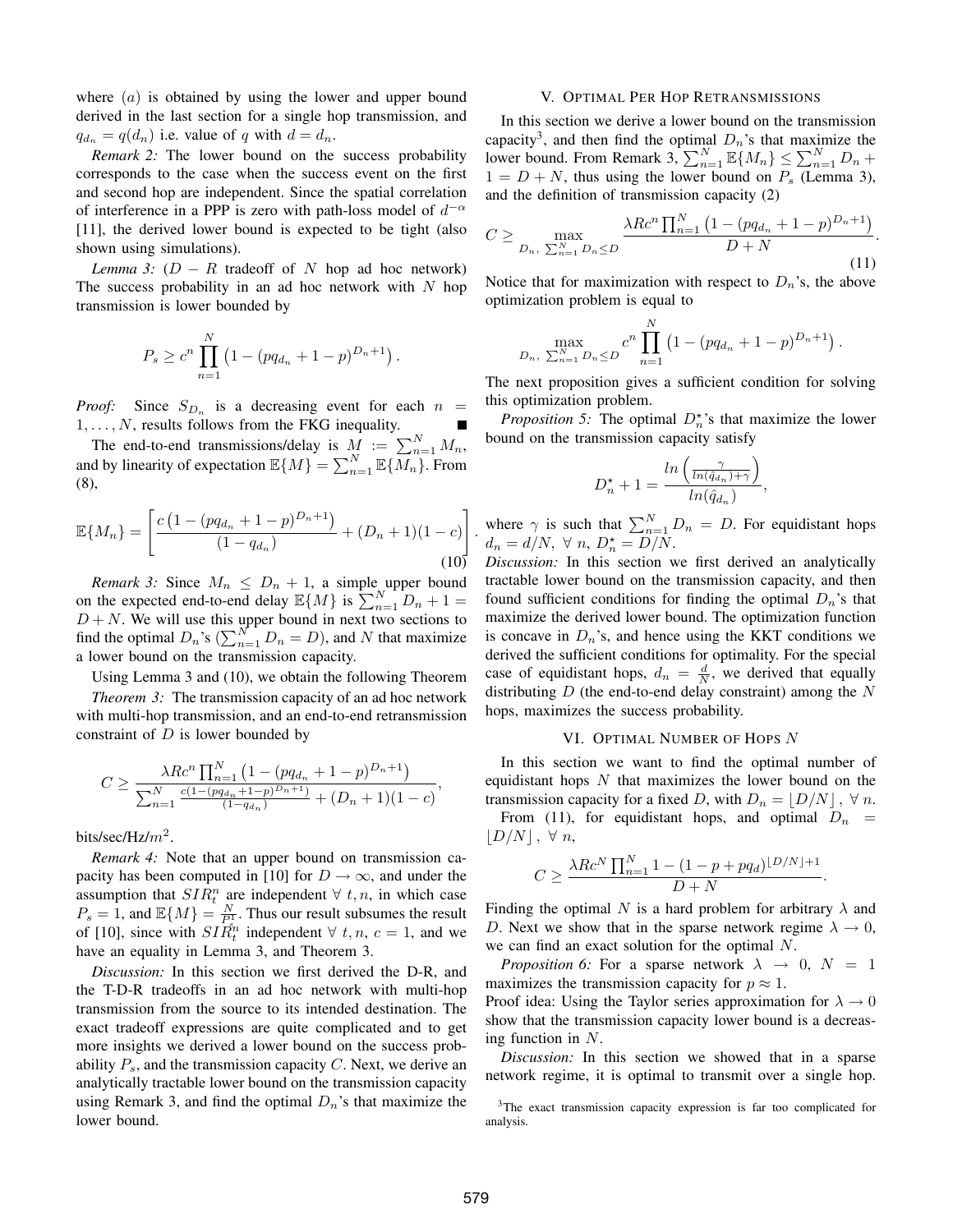where  $(a)$  is obtained by using the lower and upper bound derived in the last section for a single hop transmission, and  $q_{d_n} = q(d_n)$  i.e. value of q with  $d = d_n$ .

*Remark 2:* The lower bound on the success probability corresponds to the case when the success event on the first and second hop are independent. Since the spatial correlation of interference in a PPP is zero with path-loss model of  $d^{-\alpha}$ [11], the derived lower bound is expected to be tight (also shown using simulations).

*Lemma 3:*  $(D - R$  tradeoff of N hop ad hoc network) The success probability in an ad hoc network with  $N$  hop transmission is lower bounded by

$$
P_s \ge c^n \prod_{n=1}^N \left(1 - (pq_{d_n} + 1 - p)^{D_n + 1}\right).
$$

*Proof:* Since  $S_{D_n}$  is a decreasing event for each  $n =$  $1, \ldots, N$ , results follows from the FKG inequality.

The end-to-end transmissions/delay is  $M := \sum_{n=1}^{N} M_n$ , and by linearity of expectation  $\mathbb{E}\{M\} = \sum_{n=1}^{N} \mathbb{E}\{\overline{M_n}\}$ . From (8),

$$
\mathbb{E}\{M_n\} = \left[\frac{c\left(1 - (pq_{d_n} + 1 - p)^{D_n + 1}\right)}{(1 - q_{d_n})} + (D_n + 1)(1 - c)\right]
$$
\n(10)

*Remark 3:* Since  $M_n \leq D_n + 1$ , a simple upper bound on the expected end-to-end delay  $\mathbb{E}\{M\}$  is  $\sum_{n=1}^{N+1}D_n + 1 =$  $D + N$ . We will use this upper bound in next two sections to find the optimal  $D_n$ 's  $\left(\sum_{n=1}^{N} D_n = D\right)$ , and N that maximize a lower bound on the transmission capacity.

Using Lemma 3 and (10), we obtain the following Theorem

*Theorem 3:* The transmission capacity of an ad hoc network with multi-hop transmission, and an end-to-end retransmission constraint of  $D$  is lower bounded by

$$
C \ge \frac{\lambda R c^n \prod_{n=1}^N \left(1 - (pq_{d_n} + 1 - p)^{D_n + 1}\right)}{\sum_{n=1}^N \frac{c(1 - (pq_{d_n} + 1 - p)^{D_n + 1})}{(1 - q_{d_n})} + (D_n + 1)(1 - c)},
$$

bits/sec/Hz/ $m^2$ .

*Remark 4:* Note that an upper bound on transmission capacity has been computed in [10] for  $D \to \infty$ , and under the assumption that  $SIR_t^n$  are independent  $\forall$  t, n, in which case  $P_s = 1$ , and  $\mathbb{E}\{M\} = \frac{N}{P_s^3}$ . Thus our result subsumes the result of [10], since with  $S I_{R_t}^{\hat{s}_n}$  independent  $\forall$  t, n,  $c = 1$ , and we have an equality in Lemma 3, and Theorem 3.

*Discussion:* In this section we first derived the D-R, and the T-D-R tradeoffs in an ad hoc network with multi-hop transmission from the source to its intended destination. The exact tradeoff expressions are quite complicated and to get more insights we derived a lower bound on the success probability  $P_s$ , and the transmission capacity C. Next, we derive an analytically tractable lower bound on the transmission capacity using Remark 3, and find the optimal  $D_n$ 's that maximize the lower bound.

## V. OPTIMAL PER HOP RETRANSMISSIONS

In this section we derive a lower bound on the transmission capacity<sup>3</sup>, and then find the optimal  $D_n$ 's that maximize the lower bound. From Remark 3,  $\sum_{n=1}^{N} \mathbb{E}\{M_n\} \le \sum_{n=1}^{N} D_n +$  $1 = D + N$ , thus using the lower bound on  $P_s$  (Lemma 3), and the definition of transmission capacity (2)

$$
C \ge \max_{D_n, \sum_{n=1}^{N} D_n \le D} \frac{\lambda R c^n \prod_{n=1}^{N} \left(1 - (pq_{d_n} + 1 - p)^{D_n + 1}\right)}{D + N}.
$$
\n(11)

Notice that for maximization with respect to  $D_n$ 's, the above optimization problem is equal to

$$
\max_{D_n, \sum_{n=1}^N D_n \le D} c^n \prod_{n=1}^N \left(1 - (pq_{d_n} + 1 - p)^{D_n + 1}\right).
$$

The next proposition gives a sufficient condition for solving this optimization problem.

*Proposition 5:* The optimal  $D_n^{\star}$ 's that maximize the lower bound on the transmission capacity satisfy

$$
D_n^* + 1 = \frac{\ln\left(\frac{\gamma}{\ln(\hat{q}_{d_n}) + \gamma}\right)}{\ln(\hat{q}_{d_n})},
$$

where  $\gamma$  is such that  $\sum_{n=1}^{N} D_n = D$ . For equidistant hops  $d_n = d/N$ ,  $\forall n, D_n^* = D/N$ .

*Discussion:* In this section we first derived an analytically tractable lower bound on the transmission capacity, and then found sufficient conditions for finding the optimal  $D_n$ 's that maximize the derived lower bound. The optimization function is concave in  $D_n$ 's, and hence using the KKT conditions we derived the sufficient conditions for optimality. For the special case of equidistant hops,  $d_n = \frac{d}{N}$ , we derived that equally distributing  $D$  (the end-to-end delay constraint) among the  $N$ hops, maximizes the success probability.

# VI. OPTIMAL NUMBER OF HOPS N

In this section we want to find the optimal number of equidistant hops  $N$  that maximizes the lower bound on the transmission capacity for a fixed D, with  $D_n = |D/N|$ ,  $\forall n$ .

From (11), for equidistant hops, and optimal  $D_n$  =  $|D/N|, \forall n,$ 

$$
C\geq \frac{\lambda Rc^N\prod_{n=1}^N1-(1-p+pq_d)^{\lfloor D/N\rfloor+1}}{D+N}.
$$

Finding the optimal N is a hard problem for arbitrary  $\lambda$  and D. Next we show that in the sparse network regime  $\lambda \to 0$ , we can find an exact solution for the optimal N.

*Proposition 6:* For a sparse network  $\lambda \rightarrow 0$ ,  $N = 1$ maximizes the transmission capacity for  $p \approx 1$ .

Proof idea: Using the Taylor series approximation for  $\lambda \to 0$ show that the transmission capacity lower bound is a decreasing function in N.

*Discussion:* In this section we showed that in a sparse network regime, it is optimal to transmit over a single hop.

.

<sup>3</sup>The exact transmission capacity expression is far too complicated for analysis.